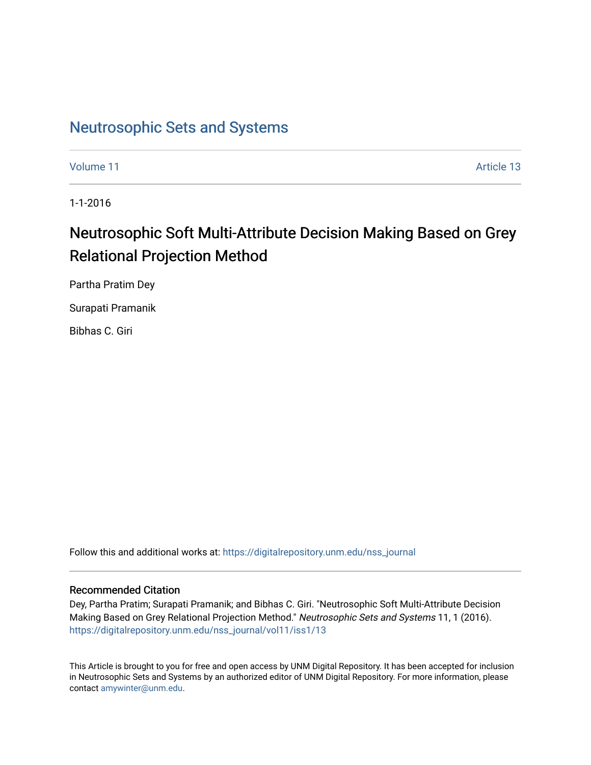# [Neutrosophic Sets and Systems](https://digitalrepository.unm.edu/nss_journal)

[Volume 11](https://digitalrepository.unm.edu/nss_journal/vol11) Article 13

1-1-2016

# Neutrosophic Soft Multi-Attribute Decision Making Based on Grey Relational Projection Method

Partha Pratim Dey

Surapati Pramanik

Bibhas C. Giri

Follow this and additional works at: [https://digitalrepository.unm.edu/nss\\_journal](https://digitalrepository.unm.edu/nss_journal?utm_source=digitalrepository.unm.edu%2Fnss_journal%2Fvol11%2Fiss1%2F13&utm_medium=PDF&utm_campaign=PDFCoverPages) 

# Recommended Citation

Dey, Partha Pratim; Surapati Pramanik; and Bibhas C. Giri. "Neutrosophic Soft Multi-Attribute Decision Making Based on Grey Relational Projection Method." Neutrosophic Sets and Systems 11, 1 (2016). [https://digitalrepository.unm.edu/nss\\_journal/vol11/iss1/13](https://digitalrepository.unm.edu/nss_journal/vol11/iss1/13?utm_source=digitalrepository.unm.edu%2Fnss_journal%2Fvol11%2Fiss1%2F13&utm_medium=PDF&utm_campaign=PDFCoverPages)

This Article is brought to you for free and open access by UNM Digital Repository. It has been accepted for inclusion in Neutrosophic Sets and Systems by an authorized editor of UNM Digital Repository. For more information, please contact [amywinter@unm.edu](mailto:amywinter@unm.edu).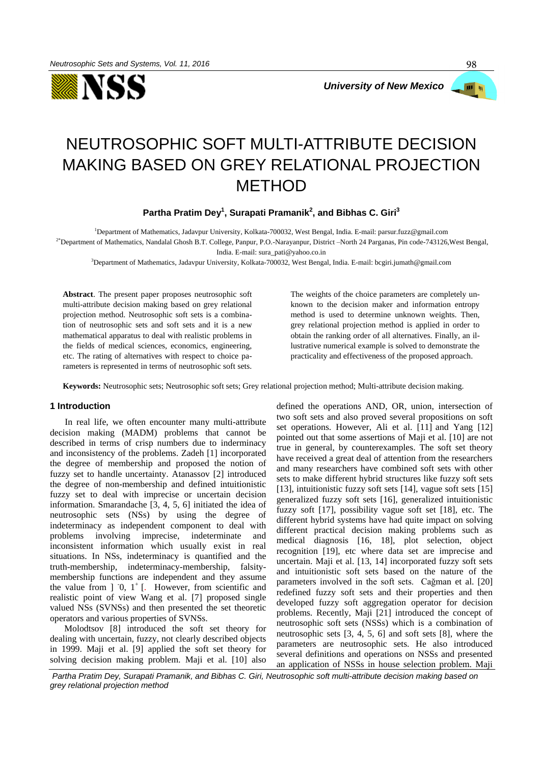



98

# NEUTROSOPHIC SOFT MULTI-ATTRIBUTE DECISION MAKING BASED ON GREY RELATIONAL PROJECTION METHOD

**Partha Pratim Dey<sup>1</sup> , Surapati Pramanik<sup>2</sup> , and Bibhas C. Giri<sup>3</sup>**

<sup>1</sup>Department of Mathematics, Jadavpur University, Kolkata-700032, West Bengal, India. E-mail: parsur.fuzz@gmail.com <sup>2\*</sup>Department of Mathematics, Nandalal Ghosh B.T. College, Panpur, P.O.-Narayanpur, District –North 24 Parganas, Pin code-743126, West Bengal, India. E-mail: sura\_pati@yahoo.co.in

<sup>3</sup>Department of Mathematics, Jadavpur University, Kolkata-700032, West Bengal, India. E-mail: bcgiri.jumath@gmail.com

**Abstract**. The present paper proposes neutrosophic soft multi-attribute decision making based on grey relational projection method. Neutrosophic soft sets is a combination of neutrosophic sets and soft sets and it is a new mathematical apparatus to deal with realistic problems in the fields of medical sciences, economics, engineering, etc. The rating of alternatives with respect to choice parameters is represented in terms of neutrosophic soft sets.

The weights of the choice parameters are completely unknown to the decision maker and information entropy method is used to determine unknown weights. Then, grey relational projection method is applied in order to obtain the ranking order of all alternatives. Finally, an illustrative numerical example is solved to demonstrate the practicality and effectiveness of the proposed approach.

**Keywords:** Neutrosophic sets; Neutrosophic soft sets; Grey relational projection method; Multi-attribute decision making.

# **1 Introduction**

In real life, we often encounter many multi-attribute decision making (MADM) problems that cannot be described in terms of crisp numbers due to inderminacy and inconsistency of the problems. Zadeh [1] incorporated the degree of membership and proposed the notion of fuzzy set to handle uncertainty. Atanassov [2] introduced the degree of non-membership and defined intuitionistic fuzzy set to deal with imprecise or uncertain decision information. Smarandache [3, 4, 5, 6] initiated the idea of neutrosophic sets (NSs) by using the degree of indeterminacy as independent component to deal with problems involving imprecise, indeterminate and inconsistent information which usually exist in real situations. In NSs, indeterminacy is quantified and the truth-membership, indeterminacy-membership, falsitymembership functions are independent and they assume the value from  $] 0, 1^{\dagger}$  [. However, from scientific and realistic point of view Wang et al. [7] proposed single valued NSs (SVNSs) and then presented the set theoretic operators and various properties of SVNSs.

Molodtsov [8] introduced the soft set theory for dealing with uncertain, fuzzy, not clearly described objects in 1999. Maji et al. [9] applied the soft set theory for solving decision making problem. Maji et al. [10] also defined the operations AND, OR, union, intersection of two soft sets and also proved several propositions on soft set operations. However, Ali et al. [11] and Yang [12] pointed out that some assertions of Maji et al. [10] are not true in general, by counterexamples. The soft set theory have received a great deal of attention from the researchers and many researchers have combined soft sets with other sets to make different hybrid structures like fuzzy soft sets [13], intuitionistic fuzzy soft sets [14], vague soft sets [15] generalized fuzzy soft sets [16], generalized intuitionistic fuzzy soft [17], possibility vague soft set [18], etc. The different hybrid systems have had quite impact on solving different practical decision making problems such as medical diagnosis [16, 18], plot selection, object recognition [19], etc where data set are imprecise and uncertain. Maji et al. [13, 14] incorporated fuzzy soft sets and intuitionistic soft sets based on the nature of the parameters involved in the soft sets. Cağman et al. [20] redefined fuzzy soft sets and their properties and then developed fuzzy soft aggregation operator for decision problems. Recently, Maji [21] introduced the concept of neutrosophic soft sets (NSSs) which is a combination of neutrosophic sets [3, 4, 5, 6] and soft sets [8], where the parameters are neutrosophic sets. He also introduced several definitions and operations on NSSs and presented an application of NSSs in house selection problem. Maji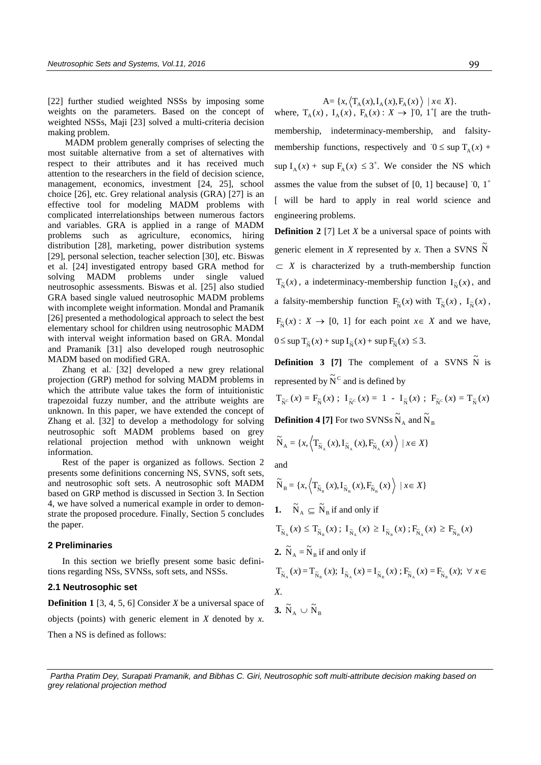[22] further studied weighted NSSs by imposing some weights on the parameters. Based on the concept of weighted NSSs, Maji [23] solved a multi-criteria decision making problem.

 MADM problem generally comprises of selecting the most suitable alternative from a set of alternatives with respect to their attributes and it has received much attention to the researchers in the field of decision science, management, economics, investment [24, 25], school choice [26], etc. Grey relational analysis (GRA) [27] is an effective tool for modeling MADM problems with complicated interrelationships between numerous factors and variables. GRA is applied in a range of MADM problems such as agriculture, economics, hiring distribution [28], marketing, power distribution systems [29], personal selection, teacher selection [30], etc. Biswas et al. [24] investigated entropy based GRA method for solving MADM problems under single valued neutrosophic assessments. Biswas et al. [25] also studied GRA based single valued neutrosophic MADM problems with incomplete weight information. Mondal and Pramanik [26] presented a methodological approach to select the best elementary school for children using neutrosophic MADM with interval weight information based on GRA. Mondal and Pramanik [31] also developed rough neutrosophic MADM based on modified GRA.

Zhang et al. [32] developed a new grey relational projection (GRP) method for solving MADM problems in which the attribute value takes the form of intuitionistic trapezoidal fuzzy number, and the attribute weights are unknown. In this paper, we have extended the concept of Zhang et al. [32] to develop a methodology for solving neutrosophic soft MADM problems based on grey relational projection method with unknown weight information.

Rest of the paper is organized as follows. Section 2 presents some definitions concerning NS, SVNS, soft sets, and neutrosophic soft sets. A neutrosophic soft MADM based on GRP method is discussed in Section 3. In Section 4, we have solved a numerical example in order to demonstrate the proposed procedure. Finally, Section 5 concludes the paper.

### **2 Preliminaries**

In this section we briefly present some basic definitions regarding NSs, SVNSs, soft sets, and NSSs.

#### **2.1 Neutrosophic set**

**Definition 1** [3, 4, 5, 6] Consider *X* be a universal space of objects (points) with generic element in *X* denoted by *x*.

Then a NS is defined as follows:

 $A = \{x, \langle T_A(x), I_A(x), F_A(x) \rangle \mid x \in X\}.$ 

where,  $T_A(x)$ ,  $I_A(x)$ ,  $F_A(x)$ :  $X \rightarrow ]0, 1^{\dagger}]$  are the truthmembership, indeterminacy-membership, and falsitymembership functions, respectively and  $0 \leq \sup T_A(x)$  +  $\sup I_A(x) + \sup F_A(x) \leq 3^+$ . We consider the NS which assmes the value from the subset of  $[0, 1]$  because]  $[0, 1^+$ [ will be hard to apply in real world science and engineering problems.

**Definition 2** [7] Let *X* be a universal space of points with generic element in *X* represented by *x*. Then a SVNS  $\tilde{N}$  $\subset X$  is characterized by a truth-membership function  $T_{\tilde{N}}(x)$ , a indeterminacy-membership function  $I_{\tilde{N}}(x)$ , and a falsity-membership function  $F_{\tilde{N}}(x)$  with  $T_{\tilde{N}}(x)$ ,  $I_{\tilde{N}}(x)$ ,  $F_{\tilde{N}}(x) : X \to [0, 1]$  for each point  $x \in X$  and we have,  $0 \leq \sup T_{\tilde{N}}(x) + \sup I_{\tilde{N}}(x) + \sup F_{\tilde{N}}(x) \leq 3.$ 

**Definition 3 [7]** The complement of a SVNS  $\tilde{N}$  is represented by  $\widetilde{N}^c$  and is defined by

$$
\mathrm{T}_{\widetilde{\mathrm{N}}^{\mathrm{c}}}\left(x\right)=\mathrm{F}_{\widetilde{\mathrm{N}}}\left(x\right)\;;\;\;\mathrm{I}_{\widetilde{\mathrm{N}}^{\mathrm{c}}}\left(x\right)=\;1\;- \;\mathrm{I}_{\widetilde{\mathrm{N}}}\left(x\right)\;;\;\;\mathrm{F}_{\widetilde{\mathrm{N}}^{\mathrm{c}}}\left(x\right)=\mathrm{T}_{\widetilde{\mathrm{N}}}\left(x\right)
$$

**Definition 4 [7]** For two SVNSs  $\widetilde{N}_A$  and  $\widetilde{N}_B$ 

$$
\widetilde{N}_{A} = \{x, \left\langle T_{\widetilde{N}_{A}}(x), I_{\widetilde{N}_{A}}(x), F_{\widetilde{N}_{A}}(x) \right\rangle \mid x \in X\}
$$

and

$$
\widetilde{N}_{B} = \{x, \left\langle T_{\widetilde{N}_{B}}(x), I_{\widetilde{N}_{B}}(x), F_{\widetilde{N}_{B}}(x) \right\rangle \mid x \in X\}
$$
\n1. 
$$
\widetilde{N}_{A} \subseteq \widetilde{N}_{B} \text{ if and only if}
$$
\n
$$
T_{\widetilde{N}_{A}}(x) \leq T_{\widetilde{N}_{B}}(x); I_{\widetilde{N}_{A}}(x) \geq I_{\widetilde{N}_{B}}(x); F_{\widetilde{N}_{A}}(x) \geq F_{\widetilde{N}_{B}}(x)
$$
\n2. 
$$
\widetilde{N}_{A} = \widetilde{N}_{B} \text{ if and only if}
$$
\n
$$
T_{\widetilde{N}_{A}}(x) = T_{\widetilde{N}_{B}}(x); I_{\widetilde{N}_{A}}(x) = I_{\widetilde{N}_{B}}(x); F_{\widetilde{N}_{A}}(x) = F_{\widetilde{N}_{B}}(x); \forall x \in X.
$$

$$
\mathbf{3.}~\tilde{N}_{\scriptscriptstyle{A}} \cup \tilde{N}_{\scriptscriptstyle{B}}
$$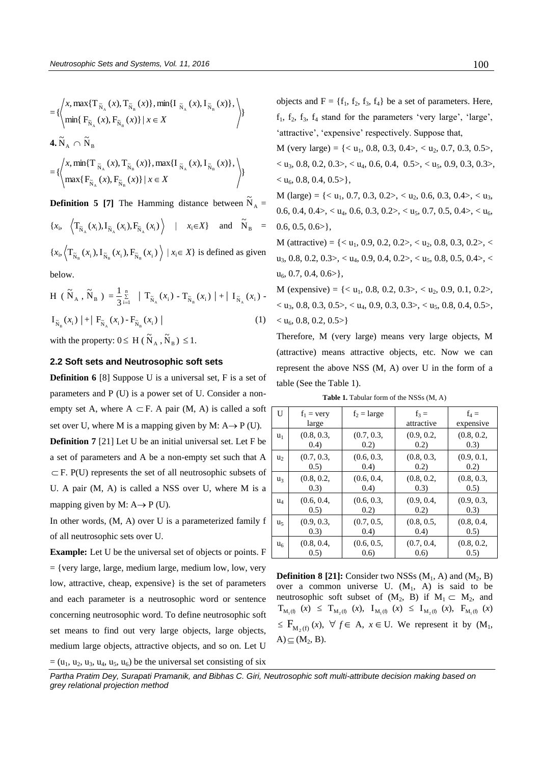$$
= \left\{ \left\langle x, \max\{T_{\tilde{N}_A}(x), T_{\tilde{N}_B}(x)\}, \min\{I_{\tilde{N}_A}(x), I_{\tilde{N}_B}(x)\}, \right\rangle \atop \min\{F_{\tilde{N}_A}(x), F_{\tilde{N}_B}(x)\} | x \in X \right\}
$$
\n4.  $\tilde{N}_A \cap \tilde{N}_B$ \n
$$
= \left\{ \left\langle x, \min\{T_{\tilde{N}_A}(x), T_{\tilde{N}_B}(x)\}, \max\{I_{\tilde{N}_A}(x), I_{\tilde{N}_B}(x)\}, \right\rangle \atop \max\{F_{\tilde{N}_A}(x), F_{\tilde{N}_B}(x)\} | x \in X \right\rangle \right\}
$$

**Definition 5 [7]** The Hamming distance between  $\tilde{N}_A$  =  ${x_i, \langle T_{\tilde{N}_A}(x_i), I_{\tilde{N}_A}(x_i), F_{\tilde{N}_A}(x_i) \rangle \mid x_i \in X}$  and  $\tilde{N}_B$  =  ${x_i, \langle} T_{\tilde{N}_B}(x_i), I_{\tilde{N}_B}(x_i), F_{\tilde{N}_B}(x_i) \rangle | x_i \in X}$  is defined as given

below.

$$
H (\tilde{N}_A, \tilde{N}_B) = \frac{1}{3} \sum_{i=1}^{n} |T_{\tilde{N}_A}(x_i) - T_{\tilde{N}_B}(x_i)| + |I_{\tilde{N}_A}(x_i) - I_{\tilde{N}_B}(x_i)|
$$
  

$$
I_{\tilde{N}_B}(x_i) + |F_{\tilde{N}_A}(x_i) - F_{\tilde{N}_B}(x_i)|
$$
 (1)

with the property:  $0 \leq H(\widetilde{N}_A, \widetilde{N}_B) \leq 1$ .

# **2.2 Soft sets and Neutrosophic soft sets**

**Definition 6** [8] Suppose U is a universal set, F is a set of parameters and P (U) is a power set of U. Consider a nonempty set A, where  $A \subset F$ . A pair (M, A) is called a soft set over U, where M is a mapping given by M:  $A \rightarrow P$  (U). **Definition 7** [21] Let U be an initial universal set. Let F be a set of parameters and A be a non-empty set such that A  $\subset$  F. P(U) represents the set of all neutrosophic subsets of U. A pair (M, A) is called a NSS over U, where M is a mapping given by M:  $A \rightarrow P$  (U).

In other words, (M, A) over U is a parameterized family f of all neutrosophic sets over U.

**Example:** Let U be the universal set of objects or points. F  $=$  {very large, large, medium large, medium low, low, very low, attractive, cheap, expensive} is the set of parameters and each parameter is a neutrosophic word or sentence concerning neutrosophic word. To define neutrosophic soft set means to find out very large objects, large objects, medium large objects, attractive objects, and so on. Let U  $=$   $(u<sub>1</sub>, u<sub>2</sub>, u<sub>3</sub>, u<sub>4</sub>, u<sub>5</sub>, u<sub>6</sub>)$  be the universal set consisting of six objects and  $F = \{f_1, f_2, f_3, f_4\}$  be a set of parameters. Here,  $f_1$ ,  $f_2$ ,  $f_3$ ,  $f_4$  stand for the parameters 'very large', 'large', 'attractive', 'expensive' respectively. Suppose that,

M (very large) =  $\{\langle u_1, 0.8, 0.3, 0.4 \rangle, \langle u_2, 0.7, 0.3, 0.5 \rangle\}$  $<$  u<sub>3</sub>, 0.8, 0.2, 0.3 $>$ ,  $<$  u<sub>4</sub>, 0.6, 0.4, 0.5 $>$ ,  $<$  u<sub>5</sub>, 0.9, 0.3, 0.3 $>$ ,  $<$  u<sub>6</sub>, 0.8, 0.4, 0.5 $>$ },

M (large) =  $\{< u_1, 0.7, 0.3, 0.2>, < u_2, 0.6, 0.3, 0.4>, < u_3, \}$ 0.6, 0.4, 0.4 $>$ ,  $<$  u<sub>4</sub>, 0.6, 0.3, 0.2 $>$ ,  $<$  u<sub>5</sub>, 0.7, 0.5, 0.4 $>$ ,  $<$  u<sub>6</sub>,  $0.6, 0.5, 0.6$ >},

M (attractive) =  $\{< u_1, 0.9, 0.2, 0.2>, < u_2, 0.8, 0.3, 0.2>, < u_3, 0.4, 0.4, ...\}$  $u_3, 0.8, 0.2, 0.3$ ,  $\lt u_4, 0.9, 0.4, 0.2$ ,  $\lt u_5, 0.8, 0.5, 0.4$ ,  $\lt$  $u_6$ , 0.7, 0.4, 0.6>},

M (expensive) =  $\{< u_1, 0.8, 0.2, 0.3>, < u_2, 0.9, 0.1, 0.2>,\}$  $<$  u<sub>3</sub>, 0.8, 0.3, 0.5 $>$ ,  $<$  u<sub>4</sub>, 0.9, 0.3, 0.3 $>$ ,  $<$  u<sub>5</sub>, 0.8, 0.4, 0.5 $>$ ,  $<$  u<sub>6</sub>, 0.8, 0.2, 0.5>}

Therefore, M (very large) means very large objects, M (attractive) means attractive objects, etc. Now we can represent the above NSS (M, A) over U in the form of a table (See the Table 1).

Table 1. Tabular form of the NSSs (M, A)

| U              | $f_1$ = very | $f_2 = large$ | $f_3 =$    | $f_4 =$    |
|----------------|--------------|---------------|------------|------------|
|                | large        |               | attractive | expensive  |
| $u_1$          | (0.8, 0.3,   | (0.7, 0.3,    | (0.9, 0.2, | (0.8, 0.2, |
|                | (0.4)        | (0.2)         | 0.2)       | (0.3)      |
| u <sub>2</sub> | (0.7, 0.3,   | (0.6, 0.3,    | (0.8, 0.3, | (0.9, 0.1, |
|                | (0.5)        | (0.4)         | 0.2)       | 0.2)       |
| $u_3$          | (0.8, 0.2,   | (0.6, 0.4,    | (0.8, 0.2, | (0.8, 0.3, |
|                | (0.3)        | (0.4)         | (0.3)      | (0.5)      |
| $u_4$          | (0.6, 0.4,   | (0.6, 0.3,    | (0.9, 0.4, | (0.9, 0.3, |
|                | (0.5)        | 0.2)          | 0.2)       | (0.3)      |
| u,             | (0.9, 0.3,   | (0.7, 0.5,    | (0.8, 0.5, | (0.8, 0.4, |
|                | (0.3)        | (0.4)         | (0.4)      | (0.5)      |
| u <sub>6</sub> | (0.8, 0.4,   | (0.6, 0.5,    | (0.7, 0.4, | (0.8, 0.2, |
|                | (0.5)        | (0.6)         | (0.6)      | (0.5)      |

**Definition 8 [21]:** Consider two NSSs  $(M_1, A)$  and  $(M_2, B)$ over a common universe U.  $(M_1, A)$  is said to be neutrosophic soft subset of  $(M_2, B)$  if  $M_1 \subset M_2$ , and  $T_{M_1(f)} (x) \leq T_{M_2(f)} (x), I_{M_1(f)} (x) \leq I_{M_2(f)} (x), F_{M_1(f)} (x)$  $\leq F_{M_2(f)}(x), \forall f \in A, x \in U.$  We represent it by  $(M_1,$  $A) \subseteq (M_2, B).$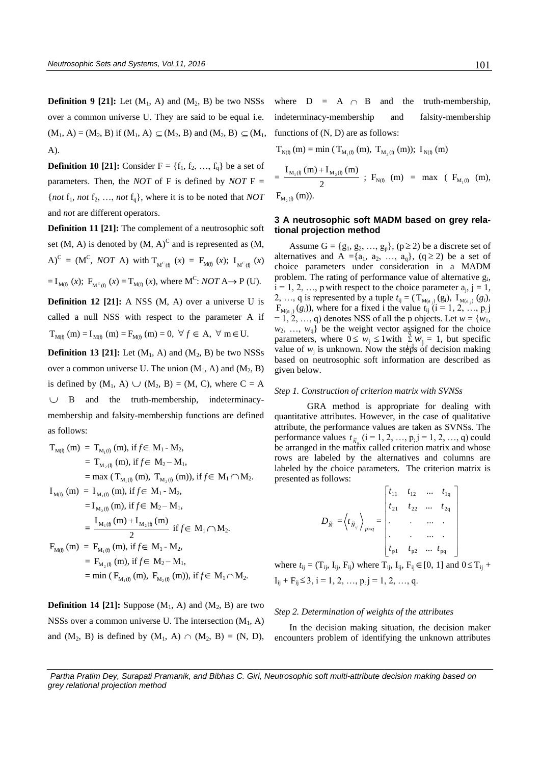**Definition 9 [21]:** Let  $(M_1, A)$  and  $(M_2, B)$  be two NSSs over a common universe U. They are said to be equal i.e.  $(M_1, A) = (M_2, B)$  if  $(M_1, A) \subseteq (M_2, B)$  and  $(M_2, B) \subseteq (M_1, A)$ A).

**Definition 10 [21]:** Consider  $F = \{f_1, f_2, ..., f_q\}$  be a set of parameters. Then, the *NOT* of F is defined by *NOT* F =  ${not f_1, not f_2, ..., not f_q}, where it is to be noted that NOT$ and *not* are different operators.

**Definition 11 [21]:** The complement of a neutrosophic soft set  $(M, A)$  is denoted by  $(M, A)^C$  and is represented as  $(M, A)$  $A$ )<sup>C</sup> = (M<sup>C</sup>, *NOT* A) with  $T_{M^c(g)}(x) = F_{M(f)}(x);$   $I_{M^c(g)}(x)$  $= I_{M(f)}(x)$ ;  $F_{M^C(f)}(x) = T_{M(f)}(x)$ , where  $M^C$ : *NOT* A  $\rightarrow$  P (U).

**Definition 12 [21]:** A NSS (M, A) over a universe U is called a null NSS with respect to the parameter A if  $T_{M(f)}(m) = I_{M(f)}(m) = F_{M(f)}(m) = 0, \forall f \in A, \forall m \in U.$ 

**Definition 13 [21]:** Let  $(M_1, A)$  and  $(M_2, B)$  be two NSSs over a common universe U. The union  $(M_1, A)$  and  $(M_2, B)$ is defined by  $(M_1, A) \cup (M_2, B) = (M, C)$ , where  $C = A$  $\cup$  B and the truth-membership, indeterminacymembership and falsity-membership functions are defined as follows:

$$
T_{M(f)} (m) = T_{M_1(f)} (m), if f \in M_1 - M_2,
$$
  
\n
$$
= T_{M_2(f)} (m), if f \in M_2 - M_1,
$$
  
\n
$$
= max (T_{M_1(f)} (m), T_{M_2(f)} (m)), if f \in M_1 \cap M_2.
$$
  
\n
$$
I_{M(f)} (m) = I_{M_1(f)} (m), if f \in M_1 - M_2,
$$
  
\n
$$
= I_{M_2(f)} (m), if f \in M_2 - M_1,
$$
  
\n
$$
= \frac{I_{M_1(f)} (m) + I_{M_2(f)} (m)}{2} if f \in M_1 \cap M_2.
$$
  
\n
$$
F_{M(f)} (m) = F_{M_1(f)} (m), if f \in M_1 - M_2,
$$
  
\n
$$
= F_{M_2(f)} (m), if f \in M_2 - M_1,
$$
  
\n
$$
= min (F_{M_1(f)} (m), F_{M_2(f)} (m)), if f \in M_1 \cap M_2.
$$

**Definition 14 [21]:** Suppose  $(M_1, A)$  and  $(M_2, B)$  are two NSSs over a common universe U. The intersection  $(M_1, A)$ and  $(M_2, B)$  is defined by  $(M_1, A) \cap (M_2, B) = (N, D)$ ,

where  $D = A \cap$ the truth-membership, indeterminacy-membership and falsity-membership functions of (N, D) are as follows:

$$
T_{N(1)} (m) = min (T_{M_1(1)} (m), T_{M_2(1)} (m)); I_{N(1)} (m)
$$
  
= 
$$
\frac{I_{M_1(1)} (m) + I_{M_2(1)} (m)}{2} ; F_{N(1)} (m) = max (F_{M_1(1)} (m)),
$$
  

$$
F_{M_2(1)} (m)).
$$

# **3 A neutrosophic soft MADM based on grey relational projection method**

Assume  $G = \{g_1, g_2, ..., g_p\}$ ,  $(p \ge 2)$  be a discrete set of alternatives and A ={ $a_1$ ,  $a_2$ , ...,  $a_q$ }, ( $q \ge 2$ ) be a set of choice parameters under consideration in a MADM problem. The rating of performance value of alternative  $g_i$ ,  $i = 1, 2, ..., p$  with respect to the choice parameter  $a_j$ ,  $j = 1$ , 2, ..., q is represented by a tuple  $t_{ij} = (T_{M(a_j)}(g_i), T_{M(a_j)}(g_i))$ ,  $F_{M(a_j)}(g_i)$ , where for a fixed i the value  $t_{ij}$  (i = 1, 2, …, p<sub>i</sub> j  $= 1, 2, ..., q$ ) denotes NSS of all the p objects. Let  $w = \{w_1,$  $w_2, \ldots, w_q$ } be the weight vector assigned for the choice parameters, where  $0 \leq w_j \leq 1$  with  $\sum_{i=1}^{N} w_j = 1$ , but specific value of  $w_j$  is unknown. Now the steps of decision making based on neutrosophic soft information are described as given below.

#### *Step 1. Construction of criterion matrix with SVNSs*

GRA method is appropriate for dealing with quantitative attributes. However, in the case of qualitative attribute, the performance values are taken as SVNSs. The performance values  $t_{\tilde{N}_{ij}}$  ( $i = 1, 2, ..., p, j = 1, 2, ..., q$ ) could be arranged in the matrix called criterion matrix and whose rows are labeled by the alternatives and columns are labeled by the choice parameters. The criterion matrix is presented as follows:

$$
D_{\tilde{N}} = \left\langle t_{\tilde{N}_{ij}} \right\rangle_{p \times q} = \begin{bmatrix} t_{11} & t_{12} & \dots & t_{1q} \\ t_{21} & t_{22} & \dots & t_{2q} \\ \vdots & \vdots & \dots & \vdots \\ t_{p1} & t_{p2} & \dots & t_{pq} \end{bmatrix}
$$

where  $t_{ij} = (T_{ij}, I_{ij}, F_{ij})$  where  $T_{ij}, I_{ij}, F_{ij} \in [0, 1]$  and  $0 \le T_{ij}$  +  $I_{ij}$  +  $F_{ij} \le 3$ , i = 1, 2, ..., p<sub>i</sub> j = 1, 2, ..., q.

#### *Step 2. Determination of weights of the attributes*

In the decision making situation, the decision maker encounters problem of identifying the unknown attributes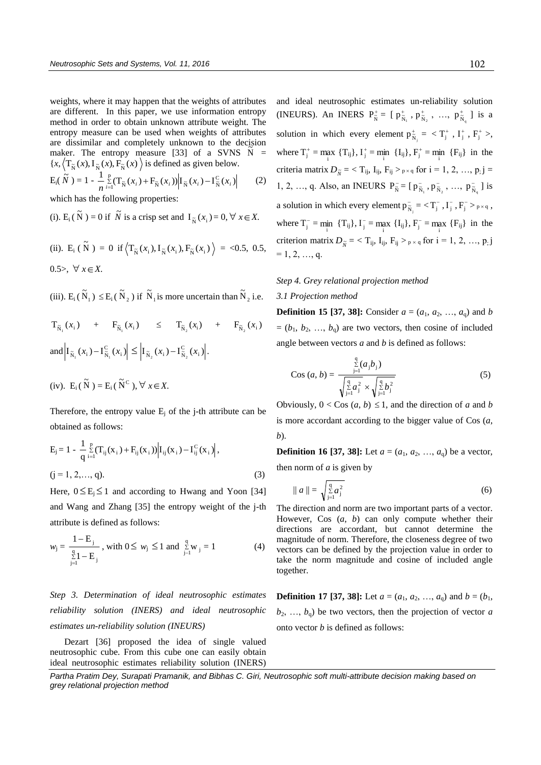weights, where it may happen that the weights of attributes are different. In this paper, we use information entropy method in order to obtain unknown attribute weight. The entropy measure can be used when weights of attributes are dissimilar and completely unknown to the decision maker. The entropy measure [33] of a SVNS  $\tilde{N} =$  ${x, \langle} T_{\tilde{N}}(x), I_{\tilde{N}}(x), F_{\tilde{N}}(x) \rangle$  is defined as given below.  $E_i(\tilde{N}) = 1 - \frac{1}{2} \sum_{i=1}^{p} (T_{\tilde{N}}(x_i) + F_{\tilde{N}}(x_i)) |I_{\tilde{N}}(x_i) - I_{\tilde{N}}^C(x_i)$  $\sum_{i=1}^{p} (T_{\tilde{N}}(x_i) + F_{\tilde{N}}(x_i)) | I_{\tilde{N}}(x_i) - I_{\tilde{N}}^{\tilde{C}}$  $\frac{1}{n} \sum_{i=1}^{p} (T_{\tilde{N}}(x_i) + F_{\tilde{N}}(x_i)) \Big| I_{\tilde{N}}(x_i) - I_{\tilde{N}}^{C}(x_i) \Big|$  $\sum_{i=1}^{p} (T_{\tilde{N}}(x_i) + F_{\tilde{N}}(x_i)) |I_{\tilde{N}}(x_i) -$ (2)

which has the following properties:

(i). E<sub>i</sub>( $\tilde{N}$ ) = 0 if  $\tilde{N}$  is a crisp set and  $I_{\tilde{N}}(x_i) = 0, \forall x \in X$ .

(ii). 
$$
E_i(\tilde{N}) = 0
$$
 if  $\langle T_{\tilde{N}}(x_i), I_{\tilde{N}}(x_i), F_{\tilde{N}}(x_i) \rangle = <0.5, 0.5,$   
0.5>,  $\forall x \in X$ .

(iii).  $E_i(\tilde{N}_1) \le E_i(\tilde{N}_2)$  if  $\tilde{N}_1$  is more uncertain than  $\tilde{N}_2$  i.e.

$$
T_{\tilde{N}_1}(x_i) + F_{\tilde{N}_1}(x_i) \leq T_{\tilde{N}_2}(x_i) + F_{\tilde{N}_2}(x_i)
$$
  
and 
$$
\left| I_{\tilde{N}_1}(x_i) - I_{\tilde{N}_1}^C(x_i) \right| \leq \left| I_{\tilde{N}_2}(x_i) - I_{\tilde{N}_2}^C(x_i) \right|.
$$

(iv). 
$$
E_i(\tilde{N}) = E_i(\tilde{N}^C), \forall x \in X.
$$

Therefore, the entropy value  $E_j$  of the j-th attribute can be obtained as follows:

$$
E_{j} = 1 - \frac{1}{q} \sum_{i=1}^{p} (T_{ij}(x_{i}) + F_{ij}(x_{i})) \Big| I_{ij}(x_{i}) - I_{ij}^{C}(x_{i}) \Big|,
$$
  
(j = 1, 2,..., q). (3)

Here,  $0 \le E_j \le 1$  and according to Hwang and Yoon [34] and Wang and Zhang [35] the entropy weight of the j-th attribute is defined as follows:

$$
w_{j} = \frac{1 - E_{j}}{\sum_{j=1}^{q} E_{j}}, \text{ with } 0 \le w_{j} \le 1 \text{ and } \sum_{j=1}^{q} w_{j} = 1
$$
 (4)

*Step 3. Determination of ideal neutrosophic estimates reliability solution (INERS) and ideal neutrosophic estimates un-reliability solution (INEURS)* 

Dezart [36] proposed the idea of single valued neutrosophic cube. From this cube one can easily obtain ideal neutrosophic estimates reliability solution (INERS) and ideal neutrosophic estimates un-reliability solution (INEURS). An INERS  $P_{\tilde{N}}^+$  $P_{\tilde{N}}^+ = [p_{\tilde{N}}^+$  $\mathrm{p}_{\mathrm{\tilde{N}}_{1}}^{+}$  ,  $\mathrm{p}_{\mathrm{\tilde{N}}}^{+}$  $p_{\tilde{N}_2}^*$  , ...,  $p_{\tilde{N}}^*$  $p_{\tilde{N}_q}^+$  ] is a solution in which every element  $p_{\hat{s}}^*$  $p_{\tilde{N}_j}^+ = \langle T_j^+ , I_j^+ , F_j^+ \rangle,$ where  $T_j^+ = \max_i \{T_{ij}\},$   $T_j^+ = \min_i \{I_{ij}\},$   $F_j^+ = \min_i \{F_{ij}\}\$ in the criteria matrix  $D_{\tilde{N}} = \langle T_{ij}, I_{ij}, F_{ij} \rangle_{p \times q}$  for  $i = 1, 2, ..., p; j =$ 1, 2, ..., q. Also, an INEURS  $P_{\tilde{N}}^ P_{\tilde{N}}^- = [p_{\tilde{N}}^$  $p_{\tilde N_1}^-, p_{\tilde N}^$  $p_{\tilde{N}_2}^-, ..., p_{\tilde{N}}^-\$  $p_{\tilde{N}_q}^-$  ] is a solution in which every element  $p_{\hat{s}}$  $p_{\tilde{N}_j}^- = \langle T_j^-, I_j^-, F_j^- \rangle_{p \times q}$ , where  $T_j^- = \min_i \{T_{ij}\}, I_j^- = \max_i \{I_{ij}\}, F_j^- = \max_i \{F_{ij}\}$  in the criterion matrix  $D_{\tilde{N}} = \langle T_{ij}, I_{ij}, F_{ij} \rangle_{p \times q}$  for  $i = 1, 2, ..., p, j$  $= 1, 2, ..., q$ .

# *Step 4. Grey relational projection method*

# *3.1 Projection method*

**Definition 15 [37, 38]:** Consider  $a = (a_1, a_2, ..., a_q)$  and *b*  $=(b_1, b_2, ..., b_q)$  are two vectors, then cosine of included angle between vectors *a* and *b* is defined as follows:

$$
\text{Cos } (a, b) = \frac{\sum_{j=1}^{q} (a_j b_j)}{\sqrt{\sum_{j=1}^{q} a_j^2} \times \sqrt{\sum_{j=1}^{q} b_j^2}}
$$
(5)

Obviously,  $0 <$  Cos  $(a, b) \le 1$ , and the direction of *a* and *b* is more accordant according to the bigger value of Cos (*a*, *b*).

**Definition 16 [37, 38]:** Let  $a = (a_1, a_2, ..., a_q)$  be a vector, then norm of *a* is given by

$$
\|a\| = \sqrt{\sum_{j=1}^{q} a_j^2}
$$
 (6)

The direction and norm are two important parts of a vector. However, Cos (*a*, *b*) can only compute whether their directions are accordant, but cannot determine the magnitude of norm. Therefore, the closeness degree of two vectors can be defined by the projection value in order to take the norm magnitude and cosine of included angle together.

**Definition 17 [37, 38]:** Let  $a = (a_1, a_2, ..., a_q)$  and  $b = (b_1, a_2, ..., b_q)$  $b_2, \ldots, b_q$  be two vectors, then the projection of vector *a* onto vector *b* is defined as follows:

*Partha Pratim Dey, Surapati Pramanik, and Bibhas C. Giri, Neutrosophic soft multi-attribute decision making based on grey relational projection method*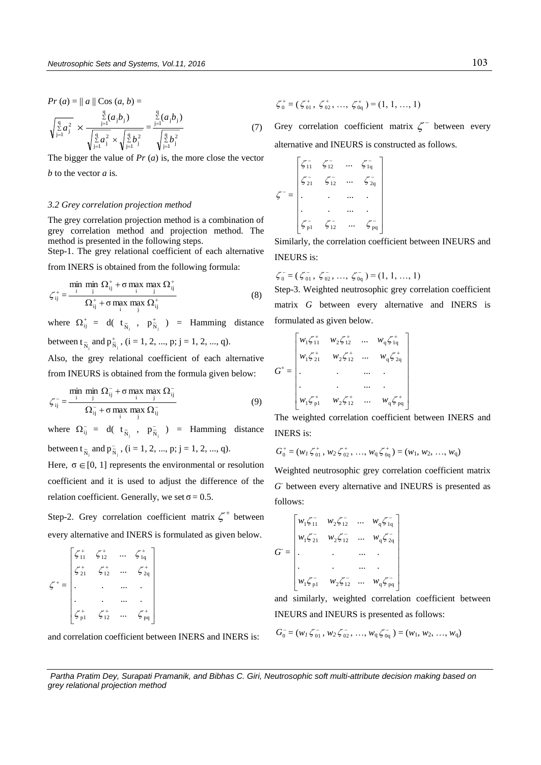$$
Pr (a) = || a || \text{Cos} (a, b) =
$$
\n
$$
\sqrt{\frac{q}{2} a_j^2} \times \frac{\sum\limits_{j=1}^{q} (a_j b_j)}{\sqrt{\sum\limits_{j=1}^{q} a_j^2} \times \sqrt{\sum\limits_{j=1}^{q} b_j^2}} = \frac{\sum\limits_{j=1}^{q} (a_j b_j)}{\sqrt{\sum\limits_{j=1}^{q} b_j^2}}
$$
\n(7)

The bigger the value of *Pr* (*a*) is, the more close the vector *b* to the vector *a* is*.*

#### *3.2 Grey correlation projection method*

The grey correlation projection method is a combination of grey correlation method and projection method. The method is presented in the following steps.

Step-1. The grey relational coefficient of each alternative from INERS is obtained from the following formula:

$$
\zeta_{ij}^+ = \frac{\min_{i} \min_{j} \Omega_{ij}^+ + \sigma \max_{i} \max_{j} \Omega_{ij}^+}{\Omega_{ij}^+ + \sigma \max_{i} \max_{j} \Omega_{ij}^+}
$$
(8)

where  $\Omega_{ij}^+ = d(t_{\tilde{N}_j}^+, p_{\tilde{N}_j}^+)$  $p_{\tilde{N}_j}^{\dagger}$  ) = Hamming distance between t<sub> $\tilde{N}_j$ </sub> and  $p_{\tilde{N}}^+$  $p_{\tilde{N}_j}^*$ ,  $(i = 1, 2, ..., p; j = 1, 2, ..., q)$ .

Also, the grey relational coefficient of each alternative from INEURS is obtained from the formula given below:

$$
\zeta_{ij}^{-} = \frac{\min_{i} \min_{j} \Omega_{ij}^{-} + \sigma \max_{i} \max_{j} \Omega_{ij}^{-}}{\Omega_{ij}^{-} + \sigma \max_{i} \max_{j} \Omega_{ij}^{-}}
$$
(9)

where  $\Omega_{ij}^- = d(t_{\tilde{N}_j}, \tilde{p}_{\tilde{N}_j}^-)$  $p_{\tilde{N}_j}^{\text{-}}$  ) = Hamming distance between t<sub> $\tilde{N}_j$ </sub> and  $p_{\tilde{N}}^$  $p_{\tilde{N}_j}^{\text{-}}$ , (i = 1, 2, ..., p; j = 1, 2, ..., q).

Here,  $\sigma \in [0, 1]$  represents the environmental or resolution coefficient and it is used to adjust the difference of the relation coefficient. Generally, we set  $\sigma = 0.5$ .

Step-2. Grey correlation coefficient matrix  $\zeta^+$  between every alternative and INERS is formulated as given below.

| $\zeta_{11}^+$ | $\zeta_{12}^+$ | ∕⊤<br>∍ 1q      |  |
|----------------|----------------|-----------------|--|
| $\zeta_{21}^+$ | $\zeta_{12}^+$ | $\frac{1}{2}$   |  |
|                |                |                 |  |
|                |                |                 |  |
| $\frac{+}{p}$  | $5^{+}_{12}$   | <sup>p</sup> pq |  |

and correlation coefficient between INERS and INERS is:

 $\zeta_0^+ = (\zeta_{01}^+, \zeta_{02}^+, ..., \zeta_{0q}^+) = (1, 1, ..., 1)$ 

Grey correlation coefficient matrix  $\zeta^-$  between every alternative and INEURS is constructed as follows.

$$
\zeta^{-} = \begin{bmatrix} \zeta_{11}^{-} & \zeta_{12}^{-} & \cdots & \zeta_{1q}^{-} \\ \zeta_{21}^{-} & \zeta_{12}^{-} & \cdots & \zeta_{2q}^{-} \\ \vdots & \vdots & \ddots & \vdots \\ \zeta_{p1}^{-} & \zeta_{12}^{-} & \cdots & \zeta_{pq}^{-} \end{bmatrix}
$$

Similarly, the correlation coefficient between INEURS and INEURS is:

$$
\zeta_0^- = (\zeta_{01}^-, \zeta_{02}^-, \ldots, \zeta_{0q}^-) = (1, 1, \ldots, 1)
$$

Step-3. Weighted neutrosophic grey correlation coefficient matrix *G* between every alternative and INERS is formulated as given below.

$$
G^{+} = \begin{bmatrix} w_1 \zeta_{11}^{+} & w_2 \zeta_{12}^{+} & \dots & w_q \zeta_{1q}^{+} \\ w_1 \zeta_{21}^{+} & w_2 \zeta_{12}^{+} & \dots & w_q \zeta_{2q}^{+} \\ \vdots & \vdots & \vdots & \ddots & \vdots \\ w_1 \zeta_{p1}^{+} & w_2 \zeta_{12}^{+} & \dots & w_q \zeta_{pq}^{+} \end{bmatrix}
$$

The weighted correlation coefficient between INERS and INERS is:

$$
G_0^+ = (w_1 \zeta_{01}^+, w_2 \zeta_{02}^+, ..., w_q \zeta_{0q}^+) = (w_1, w_2, ..., w_q)
$$

Weighted neutrosophic grey correlation coefficient matrix  $G$ <sup>-</sup> between every alternative and INEURS is presented as follows:

$$
G = \begin{bmatrix} w_1 \zeta_{11} & w_2 \zeta_{12} & \dots & w_q \zeta_{1q} \\ w_1 \zeta_{21} & w_2 \zeta_{12} & \dots & w_q \zeta_{2q} \\ \vdots & \vdots & \vdots & \vdots \\ w_1 \zeta_{p1} & w_2 \zeta_{12} & \dots & w_q \zeta_{pq} \end{bmatrix}
$$

and similarly, weighted correlation coefficient between INEURS and INEURS is presented as follows:

$$
G_0^- = (w_1 \zeta_{01}^-, w_2 \zeta_{02}^-, ..., w_q \zeta_{0q}^-) = (w_1, w_2, ..., w_q)
$$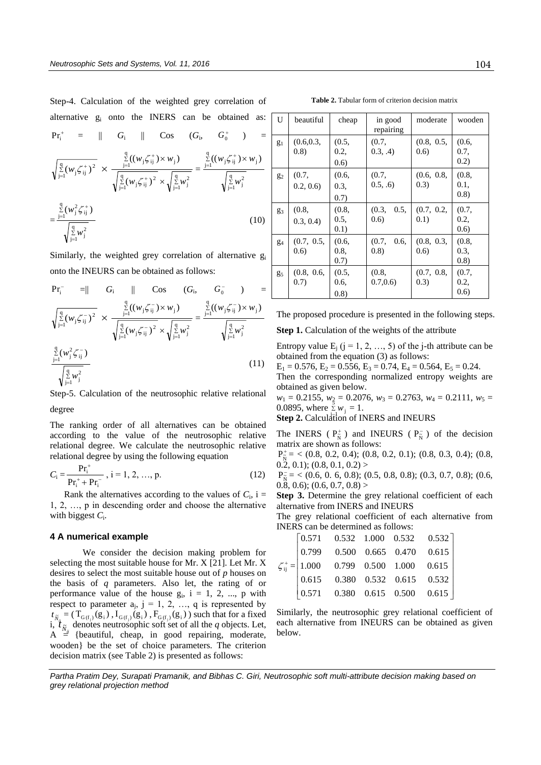Step-4. Calculation of the weighted grey correlation of alternative g<sup>i</sup> onto the INERS can be obtained as:

$$
Pr_{i}^{+} = || G_{i} || Cos (G_{i}, G_{0}^{+}) =
$$
\n
$$
\sqrt{\frac{q}{j}} (w_{j} \zeta_{ij}^{+})^{2} \times \frac{\sum_{j=1}^{q} ((w_{j} \zeta_{ij}^{+}) \times w_{j})}{\sqrt{\sum_{j=1}^{q} (w_{j} \zeta_{ij}^{+})^{2}} \times \sqrt{\sum_{j=1}^{q} w_{j}^{2}}} = \frac{\sum_{j=1}^{q} ((w_{j} \zeta_{ij}^{+}) \times w_{j})}{\sqrt{\sum_{j=1}^{q} w_{j}^{2}}}
$$
\n
$$
= \frac{\sum_{j=1}^{q} (w_{j}^{2} \zeta_{ij}^{+})}{\sqrt{\sum_{j=1}^{q} w_{j}^{2}}}
$$
\n(10)

Similarly, the weighted grey correlation of alternative g<sup>i</sup> onto the INEURS can be obtained as follows:

$$
Pr_{i}^{-} = || G_{i} || Cos (G_{i}, G_{0}^{-}) =
$$
\n
$$
\sqrt{\frac{q}{j}} (w_{j} \zeta_{ij}^{-})^{2} \times \frac{\frac{q}{j-1} ((w_{j} \zeta_{ij}^{-}) \times w_{j})}{\sqrt{\frac{q}{j}} (w_{j} \zeta_{ij}^{-})^{2} \times \sqrt{\frac{q}{j-1} w_{j}^{2}}} = \frac{\frac{q}{j-1} ((w_{j} \zeta_{ij}^{-}) \times w_{j})}{\sqrt{\frac{q}{j}} w_{j}^{2}}
$$
\n
$$
\frac{\frac{q}{2} (w_{j}^{2} \zeta_{ij}^{-})}{\sqrt{\frac{q}{j-1} w_{j}^{2}}} \times (\frac{11}{\sqrt{\frac{q}{j}}})
$$

Step-5. Calculation of the neutrosophic relative relational degree

The ranking order of all alternatives can be obtained according to the value of the neutrosophic relative relational degree. We calculate the neutrosophic relative relational degree by using the following equation

$$
C_{i} = \frac{\mathbf{P} \mathbf{r}_{i}^{+}}{\mathbf{P} \mathbf{r}_{i}^{+} + \mathbf{P} \mathbf{r}_{i}^{-}}, i = 1, 2, ..., p.
$$
 (12)

Rank the alternatives according to the values of  $C_i$ , i = 1, 2, …, p in descending order and choose the alternative with biggest  $C_i$ .

# **4 A numerical example**

We consider the decision making problem for selecting the most suitable house for Mr. X [21]. Let Mr. X desires to select the most suitable house out of *p* houses on the basis of *q* parameters. Also let, the rating of or performance value of the house  $g_i$ ,  $i = 1, 2, ..., p$  with respect to parameter  $a_j$ ,  $j = 1, 2, ..., q$  is represented by  $t_{\tilde{N}_{i_i}} = (T_{G(f_i)}(g_i), I_{G(f_i)}(g_i), F_{G(f_i)}(g_i))$  such that for a fixed  $i, t$  $A = \begin{bmatrix} N_{ij} \\ N_{ij} \end{bmatrix}$  (beautiful, cheap, in good repairing, moderate, denotes neutrosophic soft set of all the  $q$  objects. Let, wooden} be the set of choice parameters. The criterion decision matrix (see Table 2) is presented as follows:

**Table 2.** Tabular form of criterion decision matrix

| U     | beautiful           | cheap                    | in good<br>repairing   | moderate            | wooden                  |
|-------|---------------------|--------------------------|------------------------|---------------------|-------------------------|
| $g_1$ | (0.6, 0.3,<br>(0.8) | (0.5,<br>0.2,<br>(0.6)   | (0.7,<br>(0.3, .4)     | (0.8, 0.5,<br>(0.6) | (0.6, )<br>0.7,<br>0.2) |
| $g_2$ | (0.7,<br>0.2, 0.6   | (0.6,<br>0.3,<br>(0.7)   | (0.7,<br>(0.5, .6)     | (0.6, 0.8,<br>(0.3) | (0.8,<br>0.1.<br>(0.8)  |
| $g_3$ | (0.8,<br>0.3, 0.4   | (0.8,<br>0.5,<br>(0.1)   | (0.3,<br>0.5,<br>(0.6) | (0.7, 0.2,<br>(0.1) | (0.7,<br>0.2,<br>(0.6)  |
| $g_4$ | (0.7, 0.5,<br>(0.6) | (0.6, )<br>0.8,<br>(0.7) | 0.6,<br>(0.7,<br>(0.8) | (0.8, 0.3,<br>(0.6) | (0.8,<br>0.3.<br>(0.8)  |
| $g_5$ | (0.8, 0.6,<br>(0.7) | (0.5,<br>0.6,<br>(0.8)   | (0.8,<br>0.7, 0.6      | (0.7, 0.8,<br>(0.3) | (0.7,<br>0.2,<br>(0.6)  |

The proposed procedure is presented in the following steps.

**Step 1.** Calculation of the weights of the attribute

Entropy value  $E_i$  (j = 1, 2, …, 5) of the j-th attribute can be obtained from the equation (3) as follows:

 $E_1 = 0.576$ ,  $E_2 = 0.556$ ,  $E_3 = 0.74$ ,  $E_4 = 0.564$ ,  $E_5 = 0.24$ . Then the corresponding normalized entropy weights are obtained as given below.

 $w_1 = 0.2155$ ,  $w_2 = 0.2076$ ,  $w_3 = 0.2763$ ,  $w_4 = 0.2111$ ,  $w_5 = 0.2005$ 0.0895, where  $\sum_{i=1}^{8} w_i = 1$ .

Step 2. Calculation of INERS and INEURS

The INERS ( $P_{\tilde{N}}^+$  $P_{\tilde{N}}^+$ ) and INEURS ( $P_{\tilde{N}}^ P_{\tilde{N}}^-$ ) of the decision matrix are shown as follows:

 $^{+}$  $P_{\tilde{N}}^{+}$  = < (0.8, 0.2, 0.4); (0.8, 0.2, 0.1); (0.8, 0.3, 0.4); (0.8,  $(0.\overline{2}, 0.1); (0.8, 0.1, 0.2)$ 

- $P_{\tilde{N}}^-$  = < (0.6, 0. 6, 0.8); (0.5, 0.8, 0.8); (0.3, 0.7, 0.8); (0.6,  $(0.8, 0.6); (0.6, 0.7, 0.8)$ 

**Step 3.** Determine the grey relational coefficient of each alternative from INERS and INEURS

The grey relational coefficient of each alternative from INERS can be determined as follows:

|  | $\zeta_{ij}^{+} = \begin{bmatrix} 0.571 & 0.532 & 1.000 & 0.532 & 0.532 \\ 0.799 & 0.500 & 0.665 & 0.470 & 0.615 \\ 1.000 & 0.799 & 0.500 & 1.000 & 0.615 \\ 0.615 & 0.380 & 0.532 & 0.615 & 0.532 \\ 0.571 & 0.380 & 0.615 & 0.500 & 0.615 \end{bmatrix}$ |  |  |
|--|------------------------------------------------------------------------------------------------------------------------------------------------------------------------------------------------------------------------------------------------------------|--|--|

Similarly, the neutrosophic grey relational coefficient of each alternative from INEURS can be obtained as given below.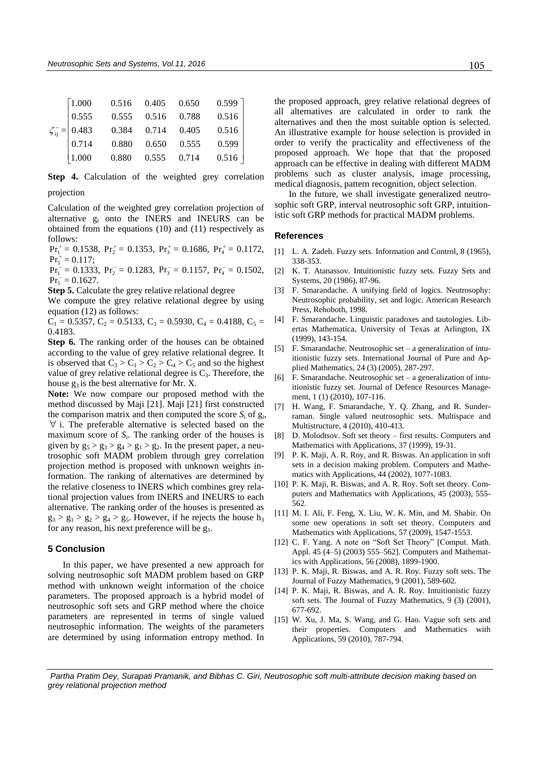| $\left\lceil 1.000 \right\rceil$ | 0.516 0.405 |       | 0.650 | 0.599 |
|----------------------------------|-------------|-------|-------|-------|
| 0.555                            | 0.555       | 0.516 | 0.788 | 0.516 |
| $\zeta_{ii}^- = 0.483$           | 0.384       | 0.714 | 0.405 | 0.516 |
| 0.714                            | 0.880       | 0.650 | 0.555 | 0.599 |
| 1.000                            | 0.880       | 0.555 | 0.714 | 0.516 |

**Step 4.** Calculation of the weighted grey correlation projection

Calculation of the weighted grey correlation projection of alternative g<sup>i</sup> onto the INERS and INEURS can be obtained from the equations (10) and (11) respectively as follows:

 $Pr_1^+ = 0.1538$ ,  $Pr_2^+ = 0.1353$ ,  $Pr_3^+ = 0.1686$ ,  $Pr_4^+ = 0.1172$ ,  $Pr_5^+ = 0.117$ ;

 $Pr_1^-$  = 0.1333,  $Pr_2^-$  = 0.1283,  $Pr_3^-$  = 0.1157,  $Pr_4^-$  = 0.1502,  $Pr_5^- = 0.1627.$ 

**Step 5.** Calculate the grey relative relational degree

We compute the grey relative relational degree by using equation (12) as follows:

 $C_1 = 0.5357, C_2 = 0.5133, C_3 = 0.5930, C_4 = 0.4188, C_5 =$ 0.4183.

**Step 6.** The ranking order of the houses can be obtained according to the value of grey relative relational degree. It is observed that  $C_3 > C_1 > C_2 > C_4 > C_5$  and so the highest value of grey relative relational degree is  $C_3$ . Therefore, the house  $g_3$  is the best alternative for Mr. X.

**Note:** We now compare our proposed method with the method discussed by Maji [21]. Maji [21] first constructed the comparison matrix and then computed the score  $S_i$  of  $g_i$ ,  $\forall$  i. The preferable alternative is selected based on the maximum score of *S*<sup>i</sup> . The ranking order of the houses is given by  $g_5 > g_3 > g_4 > g_1 > g_2$ . In the present paper, a neutrosophic soft MADM problem through grey correlation projection method is proposed with unknown weights information. The ranking of alternatives are determined by the relative closeness to INERS which combines grey relational projection values from INERS and INEURS to each alternative. The ranking order of the houses is presented as  $g_3 > g_1 > g_2 > g_4 > g_5$ . However, if he rejects the house  $h_3$ for any reason, his next preference will be  $g_1$ .

### **5 Conclusion**

In this paper, we have presented a new approach for solving neutrosophic soft MADM problem based on GRP method with unknown weight information of the choice parameters. The proposed approach is a hybrid model of neutrosophic soft sets and GRP method where the choice parameters are represented in terms of single valued neutrosophic information. The weights of the parameters are determined by using information entropy method. In the proposed approach, grey relative relational degrees of all alternatives are calculated in order to rank the alternatives and then the most suitable option is selected. An illustrative example for house selection is provided in order to verify the practicality and effectiveness of the proposed approach. We hope that that the proposed approach can be effective in dealing with different MADM problems such as cluster analysis, image processing, medical diagnosis, pattern recognition, object selection.

In the future, we shall investigate generalized neutrosophic soft GRP, interval neutrosophic soft GRP, intuitionistic soft GRP methods for practical MADM problems.

#### **References**

- [1] L. A. Zadeh. Fuzzy sets. Information and Control, 8 (1965), 338-353.
- [2] K. T. Atanassov. Intuitionistic fuzzy sets. Fuzzy Sets and Systems, 20 (1986), 87-96.
- [3] F. Smarandache. A unifying field of logics. Neutrosophy: Neutrosophic probability, set and logic. American Research Press, Rehoboth, 1998.
- [4] F. Smarandache. Linguistic paradoxes and tautologies. Libertas Mathematica, University of Texas at Arlington, IX (1999), 143-154.
- [5] F. Smarandache. Neutrosophic set a generalization of intuitionistic fuzzy sets. International Journal of Pure and Applied Mathematics, 24 (3) (2005), 287-297.
- [6] F. Smarandache. Neutrosophic set a generalization of intuitionistic fuzzy set. Journal of Defence Resources Management, 1 (1) (2010), 107-116.
- [7] H. Wang, F. Smarandache, Y. Q. Zhang, and R. Sunderraman. Single valued neutrosophic sets. Multispace and Multistructure, 4 (2010), 410-413.
- [8] D. Molodtsov. Soft set theory first results. Computers and Mathematics with Applications, 37 (1999), 19-31.
- [9] P. K. Maji, A. R. Roy, and R. Biswas. An application in soft sets in a decision making problem. Computers and Mathematics with Applications, 44 (2002), 1077-1083.
- [10] P. K. Maji, R. Biswas, and A. R. Roy. Soft set theory. Computers and Mathematics with Applications, 45 (2003), 555- 562.
- [11] M. I. Ali, F. Feng, X. Liu, W. K. Min, and M. Shabir. On some new operations in soft set theory. Computers and Mathematics with Applications, 57 (2009), 1547-1553.
- [12] C. F. Yang. A note on "Soft Set Theory" [Comput. Math. Appl. 45 (4–5) (2003) 555–562]. Computers and Mathematics with Applications, 56 (2008), 1899-1900.
- [13] P. K. Maji, R. Biswas, and A. R. Roy. Fuzzy soft sets. The Journal of Fuzzy Mathematics, 9 (2001), 589-602.
- [14] P. K. Maji, R. Biswas, and A. R. Roy. Intuitionistic fuzzy soft sets. The Journal of Fuzzy Mathematics, 9 (3) (2001), 677-692.
- [15] W. Xu, J. Ma, S. Wang, and G. Hao. Vague soft sets and their properties. Computers and Mathematics with Applications, 59 (2010), 787-794.